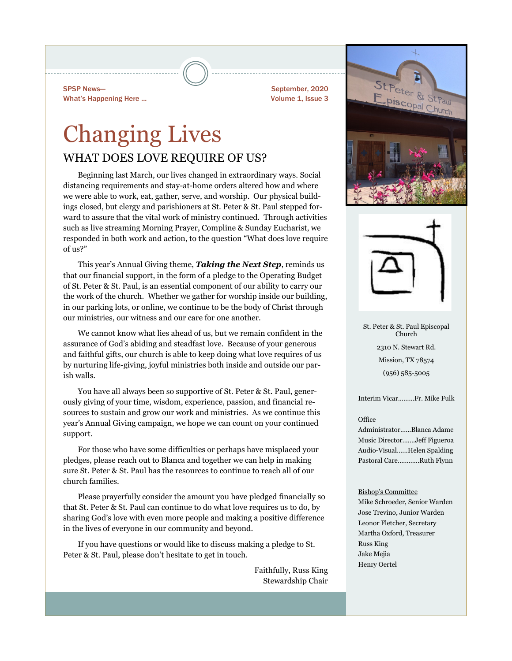SPSP News— What's Happening Here ... September, 2020 Volume 1, Issue 3

# Changing Lives WHAT DOES LOVE REQUIRE OF US?

Beginning last March, our lives changed in extraordinary ways. Social distancing requirements and stay-at-home orders altered how and where we were able to work, eat, gather, serve, and worship. Our physical buildings closed, but clergy and parishioners at St. Peter & St. Paul stepped forward to assure that the vital work of ministry continued. Through activities such as live streaming Morning Prayer, Compline & Sunday Eucharist, we responded in both work and action, to the question "What does love require of us?"

This year's Annual Giving theme, *Taking the Next Step*, reminds us that our financial support, in the form of a pledge to the Operating Budget of St. Peter & St. Paul, is an essential component of our ability to carry our the work of the church. Whether we gather for worship inside our building, in our parking lots, or online, we continue to be the body of Christ through our ministries, our witness and our care for one another.

We cannot know what lies ahead of us, but we remain confident in the assurance of God's abiding and steadfast love. Because of your generous and faithful gifts, our church is able to keep doing what love requires of us by nurturing life-giving, joyful ministries both inside and outside our parish walls.

You have all always been so supportive of St. Peter & St. Paul, generously giving of your time, wisdom, experience, passion, and financial resources to sustain and grow our work and ministries. As we continue this year's Annual Giving campaign, we hope we can count on your continued support.

For those who have some difficulties or perhaps have misplaced your pledges, please reach out to Blanca and together we can help in making sure St. Peter & St. Paul has the resources to continue to reach all of our church families.

Please prayerfully consider the amount you have pledged financially so that St. Peter & St. Paul can continue to do what love requires us to do, by sharing God's love with even more people and making a positive difference in the lives of everyone in our community and beyond.

If you have questions or would like to discuss making a pledge to St. Peter & St. Paul, please don't hesitate to get in touch.

> Faithfully, Russ King Stewardship Chair





St. Peter & St. Paul Episcopal Church 2310 N. Stewart Rd. Mission, TX 78574 (956) 585-5005

Interim Vicar….…..Fr. Mike Fulk

#### **Office**

Administrator…...Blanca Adame Music Director…….Jeff Figueroa Audio-Visual…...Helen Spalding Pastoral Care…………Ruth Flynn

#### Bishop's Committee

Mike Schroeder, Senior Warden Jose Trevino, Junior Warden Leonor Fletcher, Secretary Martha Oxford, Treasurer Russ King Jake Mejia Henry Oertel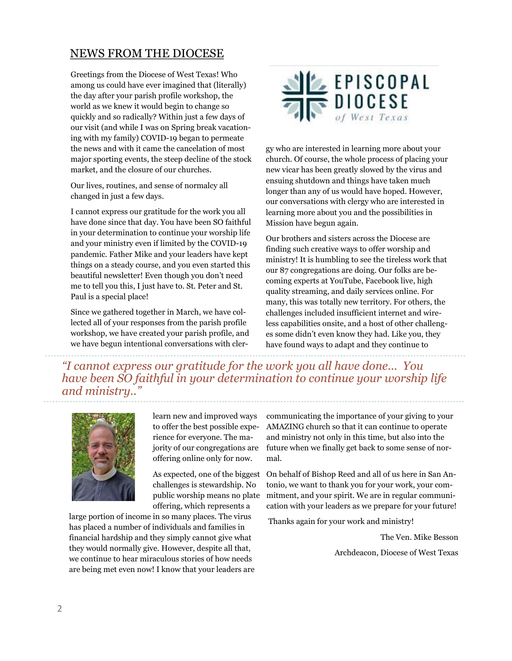### NEWS FROM THE DIOCESE

Greetings from the Diocese of West Texas! Who among us could have ever imagined that (literally) the day after your parish profile workshop, the world as we knew it would begin to change so quickly and so radically? Within just a few days of our visit (and while I was on Spring break vacationing with my family) COVID-19 began to permeate the news and with it came the cancelation of most major sporting events, the steep decline of the stock market, and the closure of our churches.

Our lives, routines, and sense of normalcy all changed in just a few days.

I cannot express our gratitude for the work you all have done since that day. You have been SO faithful in your determination to continue your worship life and your ministry even if limited by the COVID-19 pandemic. Father Mike and your leaders have kept things on a steady course, and you even started this beautiful newsletter! Even though you don't need me to tell you this, I just have to. St. Peter and St. Paul is a special place!

Since we gathered together in March, we have collected all of your responses from the parish profile workshop, we have created your parish profile, and we have begun intentional conversations with cler-



gy who are interested in learning more about your church. Of course, the whole process of placing your new vicar has been greatly slowed by the virus and ensuing shutdown and things have taken much longer than any of us would have hoped. However, our conversations with clergy who are interested in learning more about you and the possibilities in Mission have begun again.

Our brothers and sisters across the Diocese are finding such creative ways to offer worship and ministry! It is humbling to see the tireless work that our 87 congregations are doing. Our folks are becoming experts at YouTube, Facebook live, high quality streaming, and daily services online. For many, this was totally new territory. For others, the challenges included insufficient internet and wireless capabilities onsite, and a host of other challenges some didn't even know they had. Like you, they have found ways to adapt and they continue to

*"I cannot express our gratitude for the work you all have done... You have been SO faithful in your determination to continue your worship life and ministry.."*



learn new and improved ways to offer the best possible experience for everyone. The majority of our congregations are offering online only for now.

As expected, one of the biggest challenges is stewardship. No public worship means no plate offering, which represents a

large portion of income in so many places. The virus has placed a number of individuals and families in financial hardship and they simply cannot give what they would normally give. However, despite all that, we continue to hear miraculous stories of how needs are being met even now! I know that your leaders are communicating the importance of your giving to your AMAZING church so that it can continue to operate and ministry not only in this time, but also into the future when we finally get back to some sense of normal.

On behalf of Bishop Reed and all of us here in San Antonio, we want to thank you for your work, your commitment, and your spirit. We are in regular communication with your leaders as we prepare for your future!

Thanks again for your work and ministry!

The Ven. Mike Besson

Archdeacon, Diocese of West Texas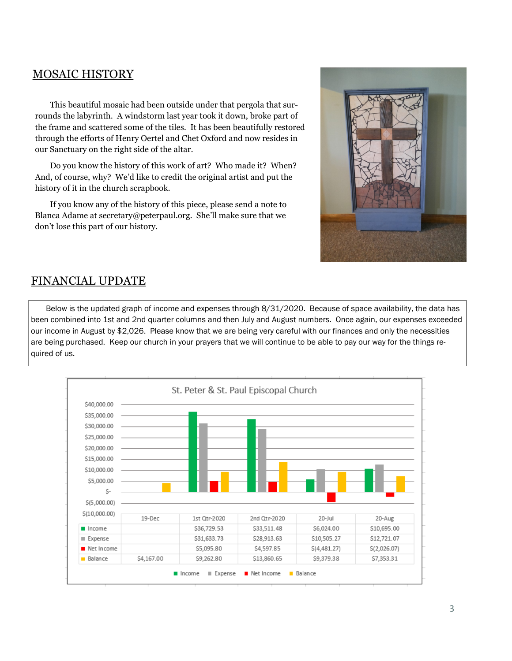### MOSAIC HISTORY

This beautiful mosaic had been outside under that pergola that surrounds the labyrinth. A windstorm last year took it down, broke part of the frame and scattered some of the tiles. It has been beautifully restored through the efforts of Henry Oertel and Chet Oxford and now resides in our Sanctuary on the right side of the altar.

Do you know the history of this work of art? Who made it? When? And, of course, why? We'd like to credit the original artist and put the history of it in the church scrapbook.

If you know any of the history of this piece, please send a note to Blanca Adame at secretary@peterpaul.org. She'll make sure that we don't lose this part of our history.



### FINANCIAL UPDATE

Below is the updated graph of income and expenses through 8/31/2020. Because of space availability, the data has been combined into 1st and 2nd quarter columns and then July and August numbers. Once again, our expenses exceeded our income in August by \$2,026. Please know that we are being very careful with our finances and only the necessities are being purchased. Keep our church in your prayers that we will continue to be able to pay our way for the things required of us.

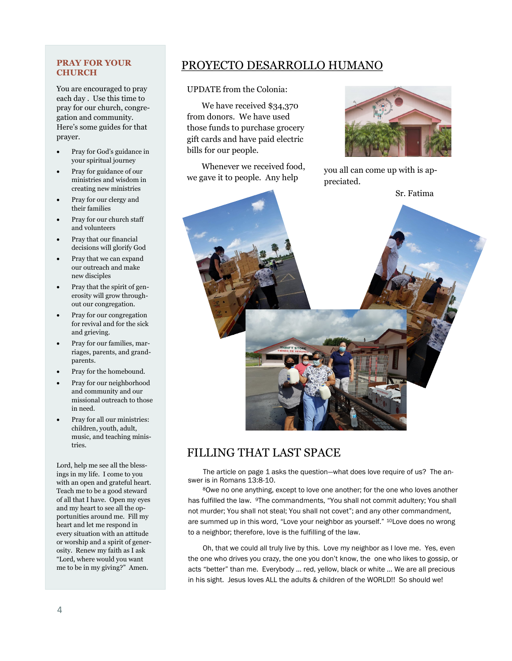### **PRAY FOR YOUR CHURCH**

You are encouraged to pray each day . Use this time to pray for our church, congregation and community. Here's some guides for that prayer.

- Pray for God's guidance in your spiritual journey
- Pray for guidance of our ministries and wisdom in creating new ministries
- Pray for our clergy and their families
- Pray for our church staff and volunteers
- Pray that our financial decisions will glorify God
- Pray that we can expand our outreach and make new disciples
- Pray that the spirit of generosity will grow throughout our congregation.
- Pray for our congregation for revival and for the sick and grieving.
- Pray for our families, marriages, parents, and grandparents.
- Pray for the homebound.
- Pray for our neighborhood and community and our missional outreach to those in need.
- Pray for all our ministries: children, youth, adult, music, and teaching ministries.

Lord, help me see all the blessings in my life. I come to you with an open and grateful heart. Teach me to be a good steward of all that I have. Open my eyes and my heart to see all the opportunities around me. Fill my heart and let me respond in every situation with an attitude or worship and a spirit of generosity. Renew my faith as I ask "Lord, where would you want me to be in my giving?" Amen.

## PROYECTO DESARROLLO HUMANO

UPDATE from the Colonia:

We have received \$34,370 from donors. We have used those funds to purchase grocery gift cards and have paid electric bills for our people.

Whenever we received food, we gave it to people. Any help



you all can come up with is appreciated.



# FILLING THAT LAST SPACE

The article on page 1 asks the question—what does love require of us? The answer is in Romans 13:8-10.

<sup>8</sup>Owe no one anything, except to love one another; for the one who loves another has fulfilled the law. 9The commandments, "You shall not commit adultery; You shall not murder; You shall not steal; You shall not covet"; and any other commandment, are summed up in this word, "Love your neighbor as yourself." 10Love does no wrong to a neighbor; therefore, love is the fulfilling of the law.

Oh, that we could all truly live by this. Love my neighbor as I love me. Yes, even the one who drives you crazy, the one you don't know, the one who likes to gossip, or acts "better" than me. Everybody … red, yellow, black or white … We are all precious in his sight. Jesus loves ALL the adults & children of the WORLD!! So should we!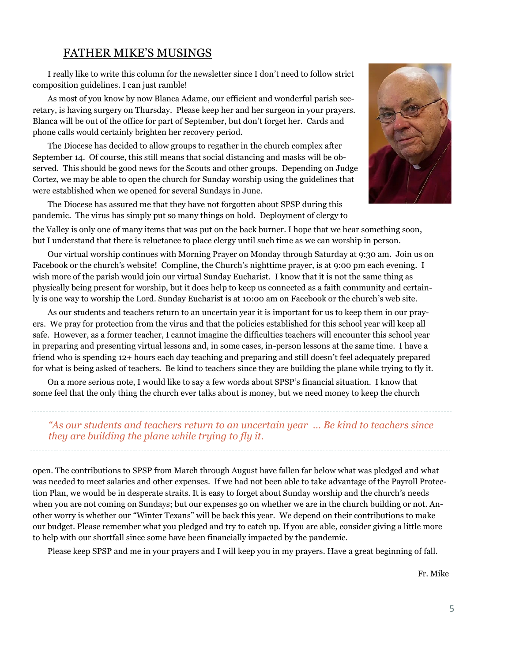### FATHER MIKE'S MUSINGS

I really like to write this column for the newsletter since I don't need to follow strict composition guidelines. I can just ramble!

As most of you know by now Blanca Adame, our efficient and wonderful parish secretary, is having surgery on Thursday. Please keep her and her surgeon in your prayers. Blanca will be out of the office for part of September, but don't forget her. Cards and phone calls would certainly brighten her recovery period.

The Diocese has decided to allow groups to regather in the church complex after September 14. Of course, this still means that social distancing and masks will be observed. This should be good news for the Scouts and other groups. Depending on Judge Cortez, we may be able to open the church for Sunday worship using the guidelines that were established when we opened for several Sundays in June.

The Diocese has assured me that they have not forgotten about SPSP during this pandemic. The virus has simply put so many things on hold. Deployment of clergy to



the Valley is only one of many items that was put on the back burner. I hope that we hear something soon, but I understand that there is reluctance to place clergy until such time as we can worship in person.

Our virtual worship continues with Morning Prayer on Monday through Saturday at 9:30 am. Join us on Facebook or the church's website! Compline, the Church's nighttime prayer, is at 9:00 pm each evening. I wish more of the parish would join our virtual Sunday Eucharist. I know that it is not the same thing as physically being present for worship, but it does help to keep us connected as a faith community and certainly is one way to worship the Lord. Sunday Eucharist is at 10:00 am on Facebook or the church's web site.

As our students and teachers return to an uncertain year it is important for us to keep them in our prayers. We pray for protection from the virus and that the policies established for this school year will keep all safe. However, as a former teacher, I cannot imagine the difficulties teachers will encounter this school year in preparing and presenting virtual lessons and, in some cases, in-person lessons at the same time. I have a friend who is spending 12+ hours each day teaching and preparing and still doesn't feel adequately prepared for what is being asked of teachers. Be kind to teachers since they are building the plane while trying to fly it.

On a more serious note, I would like to say a few words about SPSP's financial situation. I know that some feel that the only thing the church ever talks about is money, but we need money to keep the church

*"As our students and teachers return to an uncertain year … Be kind to teachers since they are building the plane while trying to fly it.*

open. The contributions to SPSP from March through August have fallen far below what was pledged and what was needed to meet salaries and other expenses. If we had not been able to take advantage of the Payroll Protection Plan, we would be in desperate straits. It is easy to forget about Sunday worship and the church's needs when you are not coming on Sundays; but our expenses go on whether we are in the church building or not. Another worry is whether our "Winter Texans" will be back this year. We depend on their contributions to make our budget. Please remember what you pledged and try to catch up. If you are able, consider giving a little more to help with our shortfall since some have been financially impacted by the pandemic.

Please keep SPSP and me in your prayers and I will keep you in my prayers. Have a great beginning of fall.

Fr. Mike